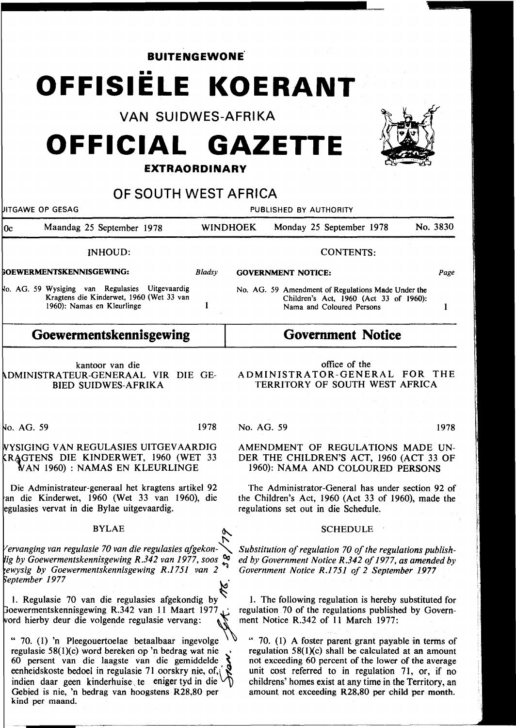**BUITENGEWONE** 

# •• **OFFISIELE KOERANT**

**VAN SUIDWES-AFRIKA** 

# **OFFICIAL GAZETTE**

### **EXTRAORDINARY**

## **OF SOUTH WEST AFRICA**

ITGAWE OP GESAG PUBLISHED BY AUTHORITY Oc Maandag 25 September 1978 WINDHOEK Monday 25 September 1978 No. 3830 CONTENTS: INHOUD: OEWERMENTSKENNISGEWING: *Bladsy*  GOVERNMENT NOTICE: *Page*  o. AG. 59 Wysiging van Regulasies Uitgevaardig No. AG. 59 Amendment of Regulations Made Under the Kragtens die Kinderwet, 1960 (Wet 33 van Children's Act, 1960 (Act 33 of 1960): 1960): Namas en Kleurlinge 1 Nama and Coloured Persons 1 **Goewermentskennisgewing Government Notice**  office of the kantoor van die ADMINISTRATOR-GENERAL FOR THE DMINISTRATEUR-GENERAAL VIR DIE GE-TERRITORY OF SOUTH WEST AFRICA BIED SUIDWES-AFRIKA 1978 No. AG. 59 No. AG. 59 1978 YSIGING VAN REGULASIES UITGEV AARDIG AMENDMENT OF REGULATIONS MADE UN-R4.<GTENS DIE KINDERWET, 1960 (WET 33 DER THE CHILDREN'S ACT, 1960 (ACT 33 OF NAN 1960) : NAMAS EN KLEURLINGE 1960): NAMA AND COLOURED PERSONS Die Administrateur-generaal het kragtens artikel 92 The Administrator-General has under section 92 of an die Kinderwet, 1960 (Wet 33 van 1960), die the Children's Act, 1960 (Act 33 of 1960), made the egulasies vervat in die Bylae uitgevaardig. regulations set out in die Schedule. **BYLAE SCHEDULE** *ervanging van regulasie 70 van die regulasies afgekon-*"\. " *ig by Goewermentskennisgewing R.342 van 1977, soos* ~ *Substitution of regulation 70 of the regulations published by Government Notice R.342 of 1977, as amended by ewysig by Goewermentskennisgewing R .17 51 van 2 Government Notice R.1751 of 2 September 1977 eptember 1977* ~· 1. Regulasie 70 van die regulasies afgekondig by 1. The following regulation is hereby substituted for Goewermentskennisgewing R.342 van 11 Maart 1977 : regulation 70 of the regulations published by Govern-<br>word hierby deur die volgende regulasie vervang:  $\chi$  ment Notice R.342 of 11 March 1977: vord hierby deur die volgende regulasie vervang: " 70. (1) 'n Pleegouertoelae betaalbaar ingevolge  $\sqrt{2}$  " 70. (1) A foster parent grant payable in terms of regulasie 58(1)(c) word bereken op 'n bedrag wat nie  $\cdot$  regulation 58(1)(c) shall be calculated at an amount 60 persent van die laagste van die gemiddelde  $\zeta$  not exceeding 60 percent of the lower of the average eenheidskoste bedoel in regulasie 71 oorskry nie, of,  $\&$  unit cost referred to in regulation 71, or, if no indien daar geen kinderhuise te eniger tyd in die  $\sqrt{\ }$  childrens' homes exist at any time in the Territory, an Gebied is nie, 'n bedrag van hoogstens R28,80 per amount not exceeding R28,80 per child per month. amount not exceeding R28,80 per child per month.

kind per maand.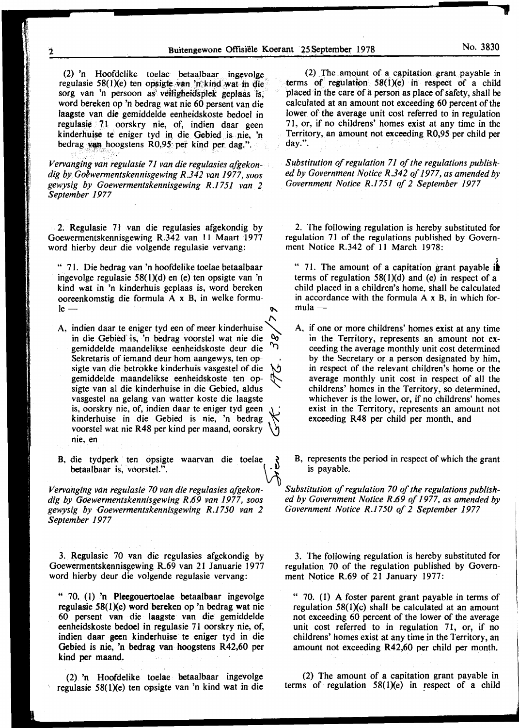(2) 'n Hoofdelike toelae betaalbaar ingevolge regulasie 58(1)(e) ten opsigte van 'n kind wat in die sorg van 'n persoon as veiligheidsplek geplaas is; word bereken op 'n bedrag wat nie 60 persent van die laagste van die gemiddelde eenheidskoste bedoel in regulasie 71 oorskry nie, of, indien daar geen kinderhuise te eniger tyd in die Gebied is nie, 'n bedrag van hoogstens R0,95 per kind per dag.".

*Vervanging van regulasie 71 van die regulasies afgekondig by Goewermentskennisgewing R.342 van 1977, soos gewysig by Goewermentskennisgewing R.1751 van. 2 September 1977* 

·-',~ ~.'- ·:~L·,\_·;, , ' )

2. Regulasie 71 van die regulasies afgekondig by Goewermentskennisgewing R.342 van II Maart I977 word hierby deur die volgende regulasie vervang:

" 71. Die bedrag van 'n hoofdelike toelae betaalbaar ingevolge regulasie 58(l)(d) en (e) ten opsigte van 'n kind wat in 'n kinderhuis geplaas is, word bereken ooreenkomstig die formula A x B, in welke formu-  $\mathbf{e}$   $\qquad$   $\qquad$   $\qquad$   $\qquad$   $\qquad$   $\qquad$   $\qquad$   $\qquad$   $\qquad$   $\qquad$   $\qquad$   $\qquad$   $\qquad$   $\qquad$   $\qquad$   $\qquad$   $\qquad$   $\qquad$   $\qquad$   $\qquad$   $\qquad$   $\qquad$   $\qquad$   $\qquad$   $\qquad$   $\qquad$   $\qquad$   $\qquad$   $\qquad$   $\qquad$   $\qquad$   $\qquad$   $\qquad$   $\qquad$   $\qquad$   $\$ 

- A, indien daar te eniger tyd een of meer kinderhuise in die Gebied is, 'n bedrag voorstel wat nie die  $\infty$ gemiddelde maandelikse eenheidskoste deur die Sekretaris of iemand deur hom aangewys, ten opsigte van die betrokke kinderhuis vasgestel of die gemiddelde maandelikse eenheidskoste ten opsigte van al die kinderhuise in die Gebied, aldus vasgestel na gelang van watter koste die laagste is, oorskry nie, of, indien daar te eniger tyd geen kinderhuise in die Gebied is nie, 'n bedrag voorstel wat nie R48 per kind per maand, oorskry nie, en
- B, die tydperk ten opsigte waarvan die toelae betaalbaar is, voorstel.".

*gewysig by Goewermentskennisgewing R.1750 van 2 Government Notice R.1750 of 2 September 1977 September 1977* 

3. Regulasie 70 van die regulasies afgekondig by Goewermentskennisgewing R.69 van 21 Januarie 1977 word hierby deur die volgende regulasie vervang:

" 70. (1) 'n Pleegouertoelae betaalbaar ingevolge regulasie 58(1)(c) word bereken op 'n bedrag wat nie 60 persent van die laagste van die gemiddelde eenheidskoste bedoel in regulasie 71 oorskry nie, of, indien daar geen kinderhuise te eniger tyd in die Gebied is nie, 'n bedrag van hoogstens R42,60 per kind per maand.

(2) 'n Hoofdelike toelae betaalbaar ingevolge regulasie 58(l)(e) ten opsigte van 'n kind wat in die

(2) The amount of a capitation grant payable in terms of regulation  $58(1)(e)$  in respect of a child placed in the care of a person as place of safety, shall be calculated at an amount not exceeding 60 percent of the lower of the average unit cost referred to in regulation 71, or, if no childrens' homes exist at any time in the Territory, an amount not exceeding R0,95 per child per day.".

*Substitution of regulation 71 of the regulations published by Government Notice R.342 of 1977, as amended by Government Notice R.1751 of 2 September 1977* 

2. The following regulation is hereby substituted for regulation 71 of the regulations published by Government Notice R.342 of 11 March I978:

" 71. The amount of a capitation grant payable in terms of regulation 58(1)(d) and (e) in respect of a child placed in a children's home, shall be calculated in accordance with the formula  $A \times B$ , in which for $mula$  —

- A, if one or more childrens' homes exist at any time in the Territory, represents an amount not exceeding the average monthly unit cost determined by the Secretary or a person designated by him, in respect of the relevant children's home or the average monthly unit cost in respect of all the childrens' homes in the Territory, so determined, whichever is the lower, or, if no childrens' homes exist in the Territory, represents an amount not exceeding R48 per child per month, and
- B, represents the period in respect of which the grant *is payable*.

*Vervanging van regulasie 70 van die regulasies afgekon- Substitution of regulation 70 of the regulations published by Government Notice R.69 of 1977, as amended by Government Notice R.1750 of 2 September 1977* 

> 3. The following regulation is hereby substituted for regulation 70 of the regulation published by Government Notice R.69 of 21 January 1977:

" 70. (1) A foster parent grant payable in terms of regulation  $58(1)(c)$  shall be calculated at an amount not exceeding 60 percent of the lower of the average unit cost referred to in regulation 71, or, if no childrens' homes exist at any time in the Territory, an amount not exceeding R42,60 per child per month.

(2) The amount of a capitation grant payable in terms of regulation  $58(1)(e)$  in respect of a child